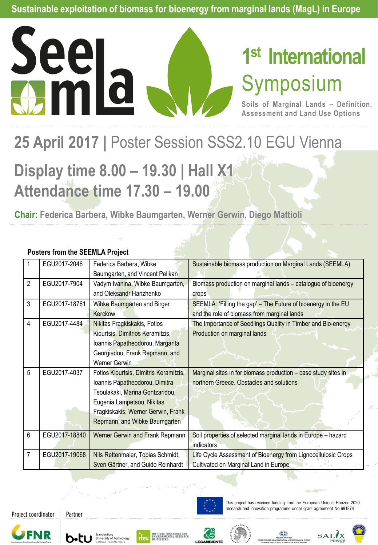

# **1 st International** Symposium

**Soils of Marginal Lands – Definition, Assessment and Land Use Options**

## 25 April 2017 | Poster Session SSS2.10 EGU Vienna

### **Display time 8.00 – 19.30 | Hall X1 Attendance time 17.30 – 19.00**

**Chair: Federica Barbera, Wibke Baumgarten, Werner Gerwin, Diego Mattioli**

|   | EGU2017-2046  | Federica Barbera, Wibke<br>Baumgarten, and Vincent Pelikan                                                                                                                                                       | Sustainable biomass production on Marginal Lands (SEEMLA)                                                    |
|---|---------------|------------------------------------------------------------------------------------------------------------------------------------------------------------------------------------------------------------------|--------------------------------------------------------------------------------------------------------------|
| 2 | EGU2017-7904  | Vadym Ivanina, Wibke Baumgarten,<br>and Oleksandr Hanzhenko                                                                                                                                                      | Biomass production on marginal lands - catalogue of bioenergy<br>crops                                       |
| 3 | EGU2017-18761 | Wibke Baumgarten and Birger<br>Kerckow                                                                                                                                                                           | SEEMLA: 'Filling the gap' - The Future of bioenergy in the EU<br>and the role of biomass from marginal lands |
| 4 | EGU2017-4484  | Nikitas Fragkiskakis, Fotios<br>Kiourtsis, Dimitrios Keramitzis,<br>Ioannis Papatheodorou, Margarita<br>Georgiadou, Frank Repmann, and<br>Werner Gerwin                                                          | The Importance of Seedlings Quality in Timber and Bio-energy<br>Production on marginal lands                 |
| 5 | EGU2017-4037  | Fotios Kiourtsis, Dimitris Keramitzis,<br>Ioannis Papatheodorou, Dimitra<br>Tsoulakaki, Marina Gontzaridou,<br>Eugenia Lampetsou, Nikitas<br>Fragkiskakis, Werner Gerwin, Frank<br>Repmann, and Wibke Baumgarten | Marginal sites in for biomass production - case study sites in<br>northern Greece. Obstacles and solutions   |
| 6 | EGU2017-18840 | Werner Gerwin and Frank Repmann                                                                                                                                                                                  | Soil properties of selected marginal lands in Europe - hazard<br>indicators                                  |
| 7 | EGU2017-19068 | Nils Rettenmaier, Tobias Schmidt,<br>Sven Gärtner, and Guido Reinhardt                                                                                                                                           | Life Cycle Assessment of Bioenergy from Lignocellulosic Crops<br>Cultivated on Marginal Land in Europe       |

#### **Posters from the SEEMLA Project**

Project coordinator





Partner









This project has received funding from the European Union's Horizon 2020 research and innovation programme under grant agreement No 691874